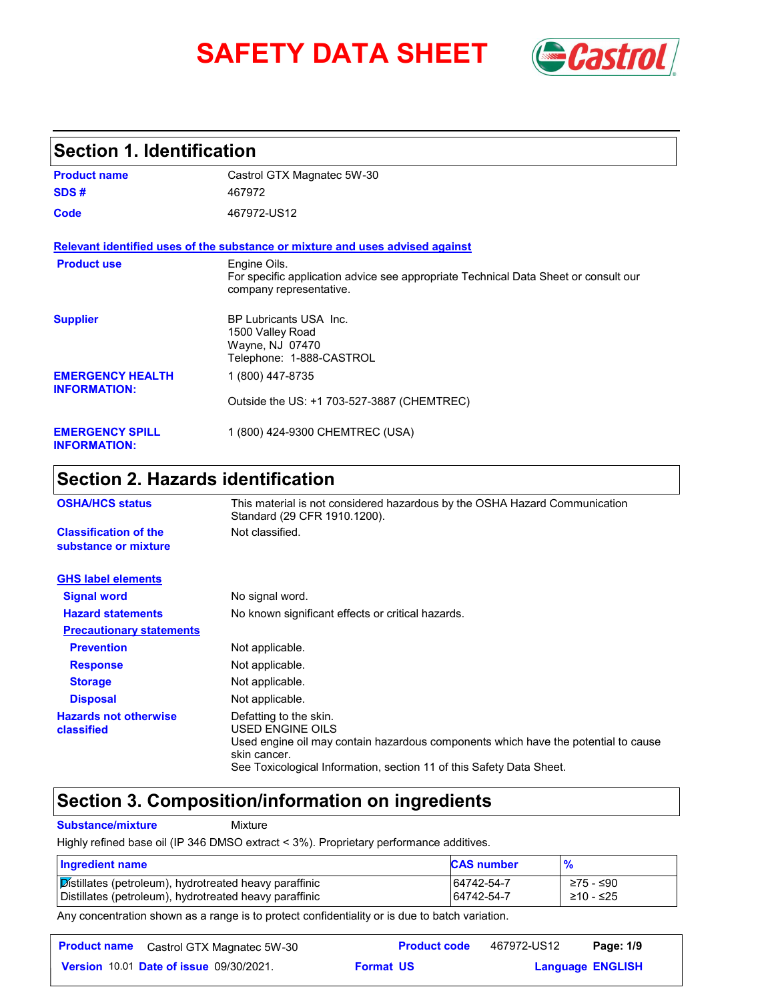# **SAFETY DATA SHEET** *Castrol*



# **Section 1. Identification**

| <b>Product name</b>                            | Castrol GTX Magnatec 5W-30                                                                                                     |
|------------------------------------------------|--------------------------------------------------------------------------------------------------------------------------------|
| SDS#                                           | 467972                                                                                                                         |
| Code                                           | 467972-US12                                                                                                                    |
|                                                | Relevant identified uses of the substance or mixture and uses advised against                                                  |
| <b>Product use</b>                             | Engine Oils.<br>For specific application advice see appropriate Technical Data Sheet or consult our<br>company representative. |
| <b>Supplier</b>                                | BP Lubricants USA Inc.<br>1500 Valley Road<br>Wayne, NJ 07470<br>Telephone: 1-888-CASTROL                                      |
| <b>EMERGENCY HEALTH</b><br><b>INFORMATION:</b> | 1 (800) 447-8735                                                                                                               |
|                                                | Outside the US: +1 703-527-3887 (CHEMTREC)                                                                                     |
| <b>EMERGENCY SPILL</b><br><b>INFORMATION:</b>  | 1 (800) 424-9300 CHEMTREC (USA)                                                                                                |

# **Section 2. Hazards identification**

| <b>OSHA/HCS status</b>                               | This material is not considered hazardous by the OSHA Hazard Communication<br>Standard (29 CFR 1910.1200).                                                                                                               |
|------------------------------------------------------|--------------------------------------------------------------------------------------------------------------------------------------------------------------------------------------------------------------------------|
| <b>Classification of the</b><br>substance or mixture | Not classified.                                                                                                                                                                                                          |
| <b>GHS label elements</b>                            |                                                                                                                                                                                                                          |
| <b>Signal word</b>                                   | No signal word.                                                                                                                                                                                                          |
| <b>Hazard statements</b>                             | No known significant effects or critical hazards.                                                                                                                                                                        |
| <b>Precautionary statements</b>                      |                                                                                                                                                                                                                          |
| <b>Prevention</b>                                    | Not applicable.                                                                                                                                                                                                          |
| <b>Response</b>                                      | Not applicable.                                                                                                                                                                                                          |
| <b>Storage</b>                                       | Not applicable.                                                                                                                                                                                                          |
| <b>Disposal</b>                                      | Not applicable.                                                                                                                                                                                                          |
| <b>Hazards not otherwise</b><br>classified           | Defatting to the skin.<br>USED ENGINE OILS<br>Used engine oil may contain hazardous components which have the potential to cause<br>skin cancer.<br>See Toxicological Information, section 11 of this Safety Data Sheet. |

# **Section 3. Composition/information on ingredients**

**Substance/mixture Mixture** 

Highly refined base oil (IP 346 DMSO extract < 3%). Proprietary performance additives.

| <b>Ingredient name</b>                                 | <b>CAS number</b> | $\frac{9}{6}$ |
|--------------------------------------------------------|-------------------|---------------|
| Distillates (petroleum), hydrotreated heavy paraffinic | 64742-54-7        | ≥75 - ≤90     |
| Distillates (petroleum), hydrotreated heavy paraffinic | 64742-54-7        | ≥10 - ≤25     |

Any concentration shown as a range is to protect confidentiality or is due to batch variation.

| <b>Product name</b> Castrol GTX Magnatec 5W-30 |                  | <b>Product code</b> | 467972-US12             | Page: 1/9 |  |
|------------------------------------------------|------------------|---------------------|-------------------------|-----------|--|
| <b>Version 10.01 Date of issue 09/30/2021.</b> | <b>Format US</b> |                     | <b>Language ENGLISH</b> |           |  |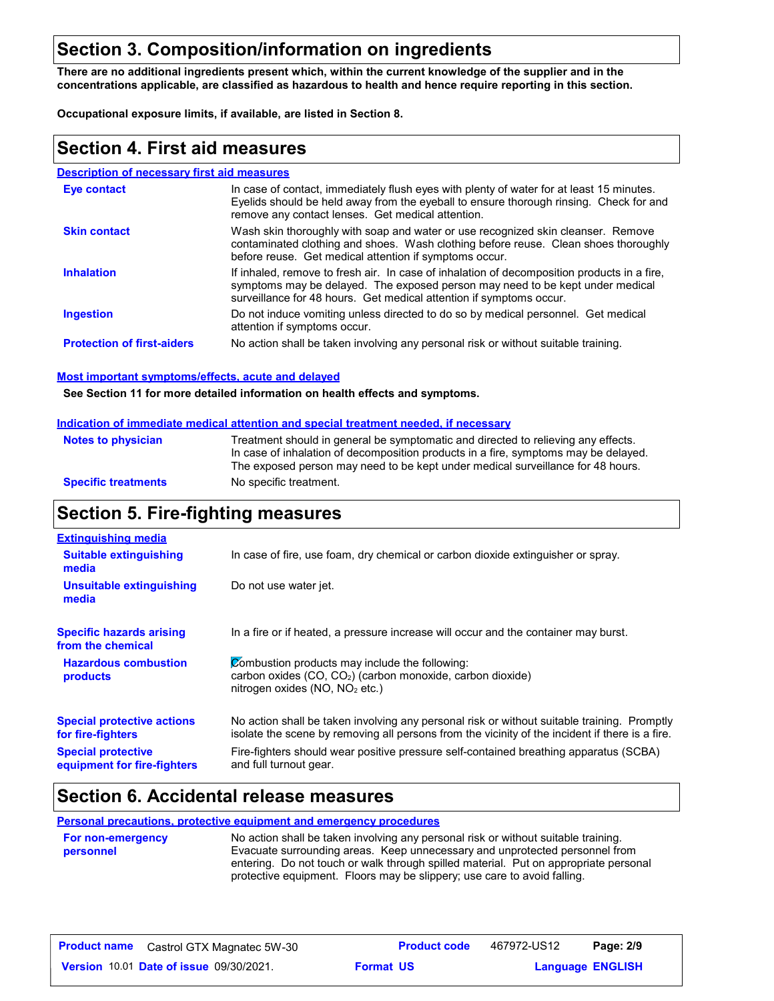# **Section 3. Composition/information on ingredients**

**There are no additional ingredients present which, within the current knowledge of the supplier and in the concentrations applicable, are classified as hazardous to health and hence require reporting in this section.**

**Occupational exposure limits, if available, are listed in Section 8.**

#### **Section 4. First aid measures**

#### **Description of necessary first aid measures**

| Eye contact                       | In case of contact, immediately flush eyes with plenty of water for at least 15 minutes.<br>Eyelids should be held away from the eyeball to ensure thorough rinsing. Check for and<br>remove any contact lenses. Get medical attention.             |
|-----------------------------------|-----------------------------------------------------------------------------------------------------------------------------------------------------------------------------------------------------------------------------------------------------|
| <b>Skin contact</b>               | Wash skin thoroughly with soap and water or use recognized skin cleanser. Remove<br>contaminated clothing and shoes. Wash clothing before reuse. Clean shoes thoroughly<br>before reuse. Get medical attention if symptoms occur.                   |
| <b>Inhalation</b>                 | If inhaled, remove to fresh air. In case of inhalation of decomposition products in a fire,<br>symptoms may be delayed. The exposed person may need to be kept under medical<br>surveillance for 48 hours. Get medical attention if symptoms occur. |
| <b>Ingestion</b>                  | Do not induce vomiting unless directed to do so by medical personnel. Get medical<br>attention if symptoms occur.                                                                                                                                   |
| <b>Protection of first-aiders</b> | No action shall be taken involving any personal risk or without suitable training.                                                                                                                                                                  |

#### **Most important symptoms/effects, acute and delayed**

**See Section 11 for more detailed information on health effects and symptoms.**

#### **Indication of immediate medical attention and special treatment needed, if necessary**

| <b>Notes to physician</b>  | Treatment should in general be symptomatic and directed to relieving any effects.   |
|----------------------------|-------------------------------------------------------------------------------------|
|                            | In case of inhalation of decomposition products in a fire, symptoms may be delayed. |
|                            | The exposed person may need to be kept under medical surveillance for 48 hours.     |
| <b>Specific treatments</b> | No specific treatment.                                                              |

#### **Section 5. Fire-fighting measures**

| <b>Extinguishing media</b>                               |                                                                                                                                                                                                |
|----------------------------------------------------------|------------------------------------------------------------------------------------------------------------------------------------------------------------------------------------------------|
| <b>Suitable extinguishing</b><br>media                   | In case of fire, use foam, dry chemical or carbon dioxide extinguisher or spray.                                                                                                               |
| Unsuitable extinguishing<br>media                        | Do not use water jet.                                                                                                                                                                          |
| <b>Specific hazards arising</b><br>from the chemical     | In a fire or if heated, a pressure increase will occur and the container may burst.                                                                                                            |
| <b>Hazardous combustion</b><br>products                  | Combustion products may include the following:<br>carbon oxides (CO, CO <sub>2</sub> ) (carbon monoxide, carbon dioxide)<br>nitrogen oxides (NO, NO <sub>2</sub> etc.)                         |
| <b>Special protective actions</b><br>for fire-fighters   | No action shall be taken involving any personal risk or without suitable training. Promptly<br>isolate the scene by removing all persons from the vicinity of the incident if there is a fire. |
| <b>Special protective</b><br>equipment for fire-fighters | Fire-fighters should wear positive pressure self-contained breathing apparatus (SCBA)<br>and full turnout gear.                                                                                |

### **Section 6. Accidental release measures**

**Personal precautions, protective equipment and emergency procedures**

| <b>For non-emergency</b> | No action shall be taken involving any personal risk or without suitable training.   |
|--------------------------|--------------------------------------------------------------------------------------|
| personnel                | Evacuate surrounding areas. Keep unnecessary and unprotected personnel from          |
|                          | entering. Do not touch or walk through spilled material. Put on appropriate personal |
|                          | protective equipment. Floors may be slippery; use care to avoid falling.             |

467972-US12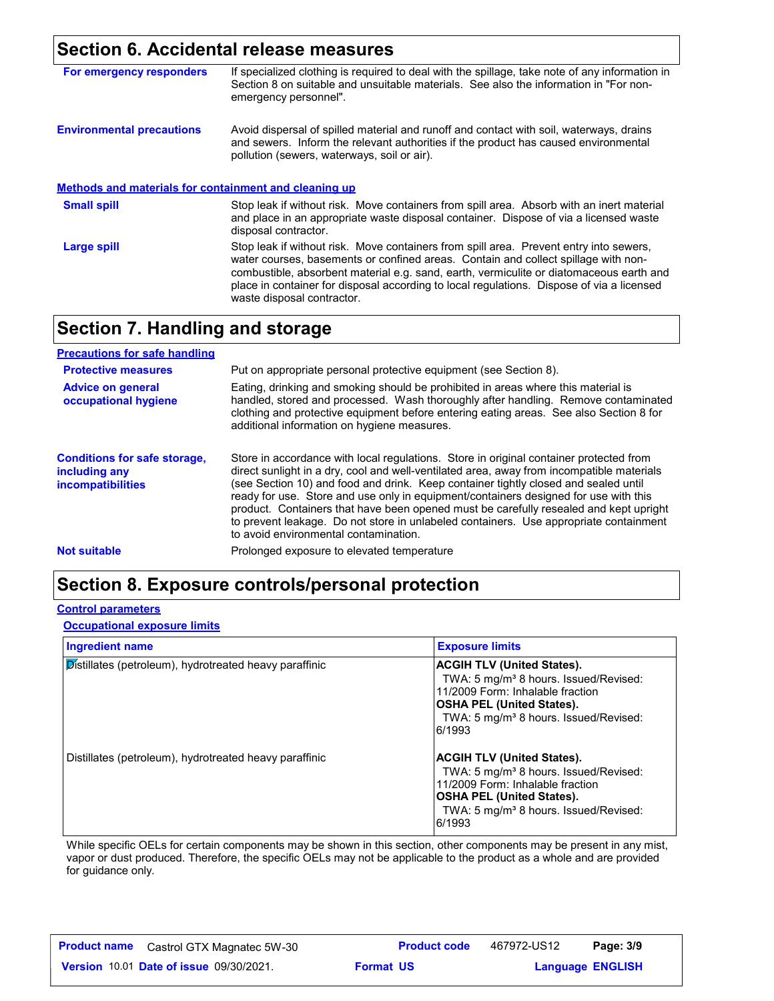# **Section 6. Accidental release measures**

| For emergency responders                              | If specialized clothing is required to deal with the spillage, take note of any information in<br>Section 8 on suitable and unsuitable materials. See also the information in "For non-<br>emergency personnel".                                                                                                                                                                                   |
|-------------------------------------------------------|----------------------------------------------------------------------------------------------------------------------------------------------------------------------------------------------------------------------------------------------------------------------------------------------------------------------------------------------------------------------------------------------------|
| <b>Environmental precautions</b>                      | Avoid dispersal of spilled material and runoff and contact with soil, waterways, drains<br>and sewers. Inform the relevant authorities if the product has caused environmental<br>pollution (sewers, waterways, soil or air).                                                                                                                                                                      |
| Methods and materials for containment and cleaning up |                                                                                                                                                                                                                                                                                                                                                                                                    |
| <b>Small spill</b>                                    | Stop leak if without risk. Move containers from spill area. Absorb with an inert material<br>and place in an appropriate waste disposal container. Dispose of via a licensed waste<br>disposal contractor.                                                                                                                                                                                         |
| Large spill                                           | Stop leak if without risk. Move containers from spill area. Prevent entry into sewers,<br>water courses, basements or confined areas. Contain and collect spillage with non-<br>combustible, absorbent material e.g. sand, earth, vermiculite or diatomaceous earth and<br>place in container for disposal according to local regulations. Dispose of via a licensed<br>waste disposal contractor. |

# **Section 7. Handling and storage**

| <b>Precautions for safe handling</b>                                             |                                                                                                                                                                                                                                                                                                                                                                                                                                                                                                                                                                                               |
|----------------------------------------------------------------------------------|-----------------------------------------------------------------------------------------------------------------------------------------------------------------------------------------------------------------------------------------------------------------------------------------------------------------------------------------------------------------------------------------------------------------------------------------------------------------------------------------------------------------------------------------------------------------------------------------------|
| <b>Protective measures</b>                                                       | Put on appropriate personal protective equipment (see Section 8).                                                                                                                                                                                                                                                                                                                                                                                                                                                                                                                             |
| <b>Advice on general</b><br>occupational hygiene                                 | Eating, drinking and smoking should be prohibited in areas where this material is<br>handled, stored and processed. Wash thoroughly after handling. Remove contaminated<br>clothing and protective equipment before entering eating areas. See also Section 8 for<br>additional information on hygiene measures.                                                                                                                                                                                                                                                                              |
| <b>Conditions for safe storage,</b><br>including any<br><i>incompatibilities</i> | Store in accordance with local regulations. Store in original container protected from<br>direct sunlight in a dry, cool and well-ventilated area, away from incompatible materials<br>(see Section 10) and food and drink. Keep container tightly closed and sealed until<br>ready for use. Store and use only in equipment/containers designed for use with this<br>product. Containers that have been opened must be carefully resealed and kept upright<br>to prevent leakage. Do not store in unlabeled containers. Use appropriate containment<br>to avoid environmental contamination. |
| <b>Not suitable</b>                                                              | Prolonged exposure to elevated temperature                                                                                                                                                                                                                                                                                                                                                                                                                                                                                                                                                    |

# **Section 8. Exposure controls/personal protection**

#### **Control parameters**

#### **Occupational exposure limits**

| <b>Ingredient name</b>                                 | <b>Exposure limits</b>                                                                                                                                                                                                        |
|--------------------------------------------------------|-------------------------------------------------------------------------------------------------------------------------------------------------------------------------------------------------------------------------------|
| Distillates (petroleum), hydrotreated heavy paraffinic | <b>ACGIH TLV (United States).</b><br>TWA: 5 mg/m <sup>3</sup> 8 hours. Issued/Revised:<br>11/2009 Form: Inhalable fraction<br><b>OSHA PEL (United States).</b><br>TWA: 5 mg/m <sup>3</sup> 8 hours. Issued/Revised:<br>6/1993 |
| Distillates (petroleum), hydrotreated heavy paraffinic | <b>ACGIH TLV (United States).</b><br>TWA: 5 mg/m <sup>3</sup> 8 hours. Issued/Revised:<br>11/2009 Form: Inhalable fraction<br><b>OSHA PEL (United States).</b><br>TWA: 5 mg/m <sup>3</sup> 8 hours. Issued/Revised:<br>6/1993 |

While specific OELs for certain components may be shown in this section, other components may be present in any mist, vapor or dust produced. Therefore, the specific OELs may not be applicable to the product as a whole and are provided for guidance only.

| <b>Product name</b> | Castrol GTX Magnatec 5W-30                     | <b>Product code</b> | 467972-US12 | Page: 3/9               |  |
|---------------------|------------------------------------------------|---------------------|-------------|-------------------------|--|
|                     | <b>Version 10.01 Date of issue 09/30/2021.</b> | <b>Format US</b>    |             | <b>Language ENGLISH</b> |  |

467972-US12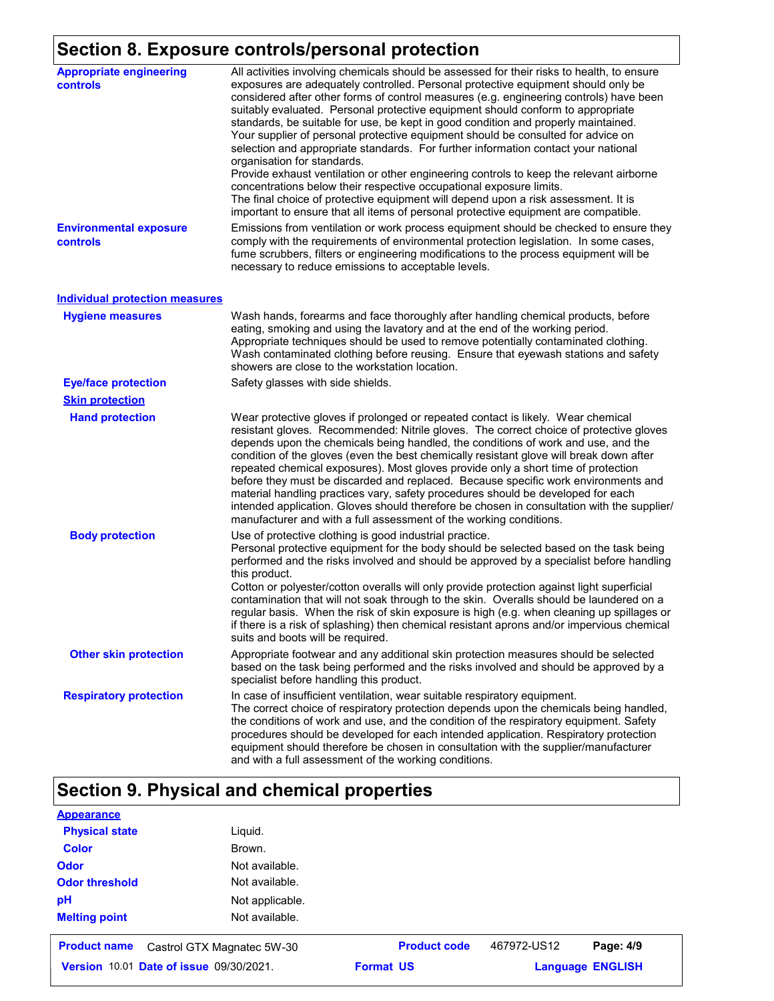# **Section 8. Exposure controls/personal protection**

| <b>Appropriate engineering</b><br>controls | All activities involving chemicals should be assessed for their risks to health, to ensure<br>exposures are adequately controlled. Personal protective equipment should only be<br>considered after other forms of control measures (e.g. engineering controls) have been<br>suitably evaluated. Personal protective equipment should conform to appropriate<br>standards, be suitable for use, be kept in good condition and properly maintained.<br>Your supplier of personal protective equipment should be consulted for advice on<br>selection and appropriate standards. For further information contact your national<br>organisation for standards.<br>Provide exhaust ventilation or other engineering controls to keep the relevant airborne<br>concentrations below their respective occupational exposure limits.<br>The final choice of protective equipment will depend upon a risk assessment. It is<br>important to ensure that all items of personal protective equipment are compatible. |
|--------------------------------------------|------------------------------------------------------------------------------------------------------------------------------------------------------------------------------------------------------------------------------------------------------------------------------------------------------------------------------------------------------------------------------------------------------------------------------------------------------------------------------------------------------------------------------------------------------------------------------------------------------------------------------------------------------------------------------------------------------------------------------------------------------------------------------------------------------------------------------------------------------------------------------------------------------------------------------------------------------------------------------------------------------------|
| <b>Environmental exposure</b><br>controls  | Emissions from ventilation or work process equipment should be checked to ensure they<br>comply with the requirements of environmental protection legislation. In some cases,<br>fume scrubbers, filters or engineering modifications to the process equipment will be<br>necessary to reduce emissions to acceptable levels.                                                                                                                                                                                                                                                                                                                                                                                                                                                                                                                                                                                                                                                                              |
| <b>Individual protection measures</b>      |                                                                                                                                                                                                                                                                                                                                                                                                                                                                                                                                                                                                                                                                                                                                                                                                                                                                                                                                                                                                            |
| <b>Hygiene measures</b>                    | Wash hands, forearms and face thoroughly after handling chemical products, before<br>eating, smoking and using the lavatory and at the end of the working period.<br>Appropriate techniques should be used to remove potentially contaminated clothing.<br>Wash contaminated clothing before reusing. Ensure that eyewash stations and safety<br>showers are close to the workstation location.                                                                                                                                                                                                                                                                                                                                                                                                                                                                                                                                                                                                            |
| <b>Eye/face protection</b>                 | Safety glasses with side shields.                                                                                                                                                                                                                                                                                                                                                                                                                                                                                                                                                                                                                                                                                                                                                                                                                                                                                                                                                                          |
| <b>Skin protection</b>                     |                                                                                                                                                                                                                                                                                                                                                                                                                                                                                                                                                                                                                                                                                                                                                                                                                                                                                                                                                                                                            |
| <b>Hand protection</b>                     | Wear protective gloves if prolonged or repeated contact is likely. Wear chemical<br>resistant gloves. Recommended: Nitrile gloves. The correct choice of protective gloves<br>depends upon the chemicals being handled, the conditions of work and use, and the<br>condition of the gloves (even the best chemically resistant glove will break down after<br>repeated chemical exposures). Most gloves provide only a short time of protection<br>before they must be discarded and replaced. Because specific work environments and<br>material handling practices vary, safety procedures should be developed for each<br>intended application. Gloves should therefore be chosen in consultation with the supplier/<br>manufacturer and with a full assessment of the working conditions.                                                                                                                                                                                                              |
| <b>Body protection</b>                     | Use of protective clothing is good industrial practice.<br>Personal protective equipment for the body should be selected based on the task being<br>performed and the risks involved and should be approved by a specialist before handling<br>this product.<br>Cotton or polyester/cotton overalls will only provide protection against light superficial<br>contamination that will not soak through to the skin. Overalls should be laundered on a<br>regular basis. When the risk of skin exposure is high (e.g. when cleaning up spillages or<br>if there is a risk of splashing) then chemical resistant aprons and/or impervious chemical<br>suits and boots will be required.                                                                                                                                                                                                                                                                                                                      |
| <b>Other skin protection</b>               | Appropriate footwear and any additional skin protection measures should be selected<br>based on the task being performed and the risks involved and should be approved by a<br>specialist before handling this product.                                                                                                                                                                                                                                                                                                                                                                                                                                                                                                                                                                                                                                                                                                                                                                                    |
| <b>Respiratory protection</b>              | In case of insufficient ventilation, wear suitable respiratory equipment.<br>The correct choice of respiratory protection depends upon the chemicals being handled,<br>the conditions of work and use, and the condition of the respiratory equipment. Safety<br>procedures should be developed for each intended application. Respiratory protection<br>equipment should therefore be chosen in consultation with the supplier/manufacturer<br>and with a full assessment of the working conditions.                                                                                                                                                                                                                                                                                                                                                                                                                                                                                                      |

# **Section 9. Physical and chemical properties**

| <b>Appearance</b>                                 |                 |                     |             |                         |
|---------------------------------------------------|-----------------|---------------------|-------------|-------------------------|
| <b>Physical state</b>                             | Liguid.         |                     |             |                         |
| <b>Color</b>                                      | Brown.          |                     |             |                         |
| <b>Odor</b>                                       | Not available.  |                     |             |                         |
| <b>Odor threshold</b>                             | Not available.  |                     |             |                         |
| pH                                                | Not applicable. |                     |             |                         |
| <b>Melting point</b>                              | Not available.  |                     |             |                         |
| <b>Product name</b><br>Castrol GTX Magnatec 5W-30 |                 | <b>Product code</b> | 467972-US12 | Page: 4/9               |
| <b>Version 10.01 Date of issue 09/30/2021.</b>    |                 | <b>Format US</b>    |             | <b>Language ENGLISH</b> |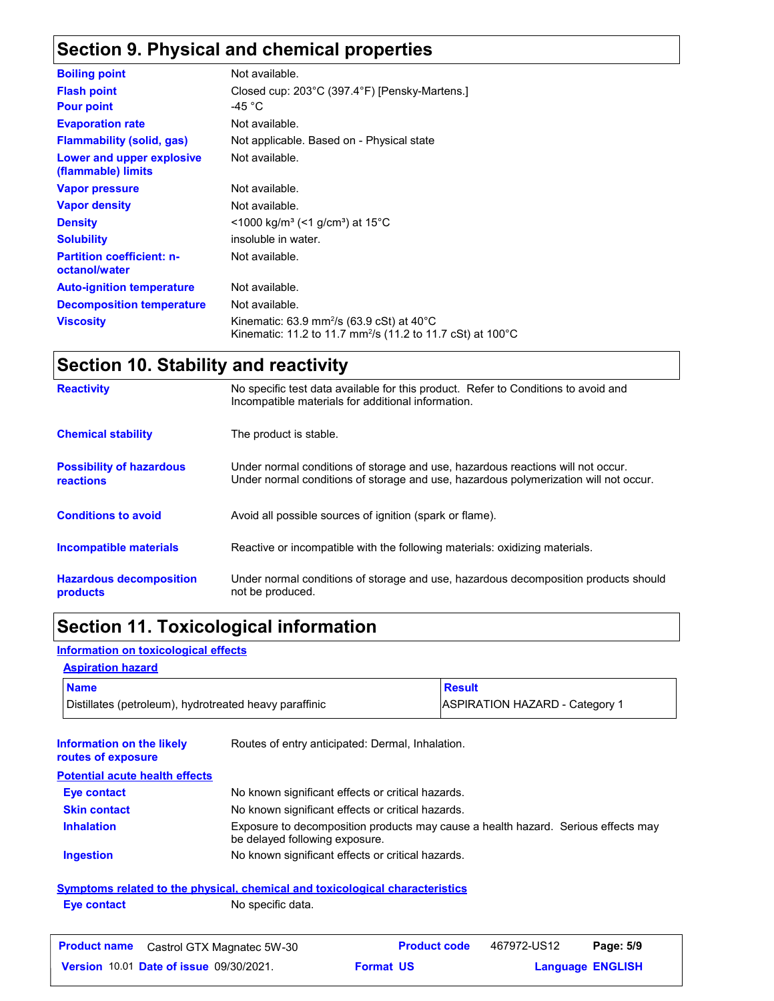# **Section 9. Physical and chemical properties**

| <b>Boiling point</b>                              | Not available.                                                                                                                             |
|---------------------------------------------------|--------------------------------------------------------------------------------------------------------------------------------------------|
| <b>Flash point</b>                                | Closed cup: 203°C (397.4°F) [Pensky-Martens.]                                                                                              |
| <b>Pour point</b>                                 | -45 $^{\circ}$ C                                                                                                                           |
| <b>Evaporation rate</b>                           | Not available.                                                                                                                             |
| <b>Flammability (solid, gas)</b>                  | Not applicable. Based on - Physical state                                                                                                  |
| Lower and upper explosive<br>(flammable) limits   | Not available.                                                                                                                             |
| <b>Vapor pressure</b>                             | Not available.                                                                                                                             |
| <b>Vapor density</b>                              | Not available.                                                                                                                             |
| <b>Density</b>                                    | $\leq$ 1000 kg/m <sup>3</sup> (<1 g/cm <sup>3</sup> ) at 15 <sup>°</sup> C                                                                 |
| <b>Solubility</b>                                 | insoluble in water.                                                                                                                        |
| <b>Partition coefficient: n-</b><br>octanol/water | Not available.                                                                                                                             |
| <b>Auto-ignition temperature</b>                  | Not available.                                                                                                                             |
| <b>Decomposition temperature</b>                  | Not available.                                                                                                                             |
| <b>Viscosity</b>                                  | Kinematic: 63.9 mm <sup>2</sup> /s (63.9 cSt) at 40 $^{\circ}$ C<br>Kinematic: 11.2 to 11.7 mm <sup>2</sup> /s (11.2 to 11.7 cSt) at 100°C |

# **Section 10. Stability and reactivity**

| <b>Reactivity</b>                                   | No specific test data available for this product. Refer to Conditions to avoid and<br>Incompatible materials for additional information.                                |
|-----------------------------------------------------|-------------------------------------------------------------------------------------------------------------------------------------------------------------------------|
| <b>Chemical stability</b>                           | The product is stable.                                                                                                                                                  |
| <b>Possibility of hazardous</b><br><b>reactions</b> | Under normal conditions of storage and use, hazardous reactions will not occur.<br>Under normal conditions of storage and use, hazardous polymerization will not occur. |
| <b>Conditions to avoid</b>                          | Avoid all possible sources of ignition (spark or flame).                                                                                                                |
| <b>Incompatible materials</b>                       | Reactive or incompatible with the following materials: oxidizing materials.                                                                                             |
| <b>Hazardous decomposition</b><br>products          | Under normal conditions of storage and use, hazardous decomposition products should<br>not be produced.                                                                 |

# **Section 11. Toxicological information**

**Eye contact** No specific data.

#### **Information on toxicological effects**

#### **Aspiration hazard**

| <b>Name</b>                                            | <b>Result</b>                         |
|--------------------------------------------------------|---------------------------------------|
| Distillates (petroleum), hydrotreated heavy paraffinic | <b>ASPIRATION HAZARD - Category 1</b> |

| Information on the likely<br>routes of exposure | Routes of entry anticipated: Dermal, Inhalation.                                                                    |
|-------------------------------------------------|---------------------------------------------------------------------------------------------------------------------|
| <b>Potential acute health effects</b>           |                                                                                                                     |
| Eye contact                                     | No known significant effects or critical hazards.                                                                   |
| <b>Skin contact</b>                             | No known significant effects or critical hazards.                                                                   |
| <b>Inhalation</b>                               | Exposure to decomposition products may cause a health hazard. Serious effects may<br>be delayed following exposure. |
| <b>Ingestion</b>                                | No known significant effects or critical hazards.                                                                   |
|                                                 | Symptoms related to the physical, chemical and toxicological characteristics                                        |

| <b>Product name</b> Castrol GTX Magnatec 5W-30 | <b>Product code</b> | 467972-US12 | Page: 5/9               |
|------------------------------------------------|---------------------|-------------|-------------------------|
| <b>Version 10.01 Date of issue 09/30/2021.</b> | <b>Format US</b>    |             | <b>Language ENGLISH</b> |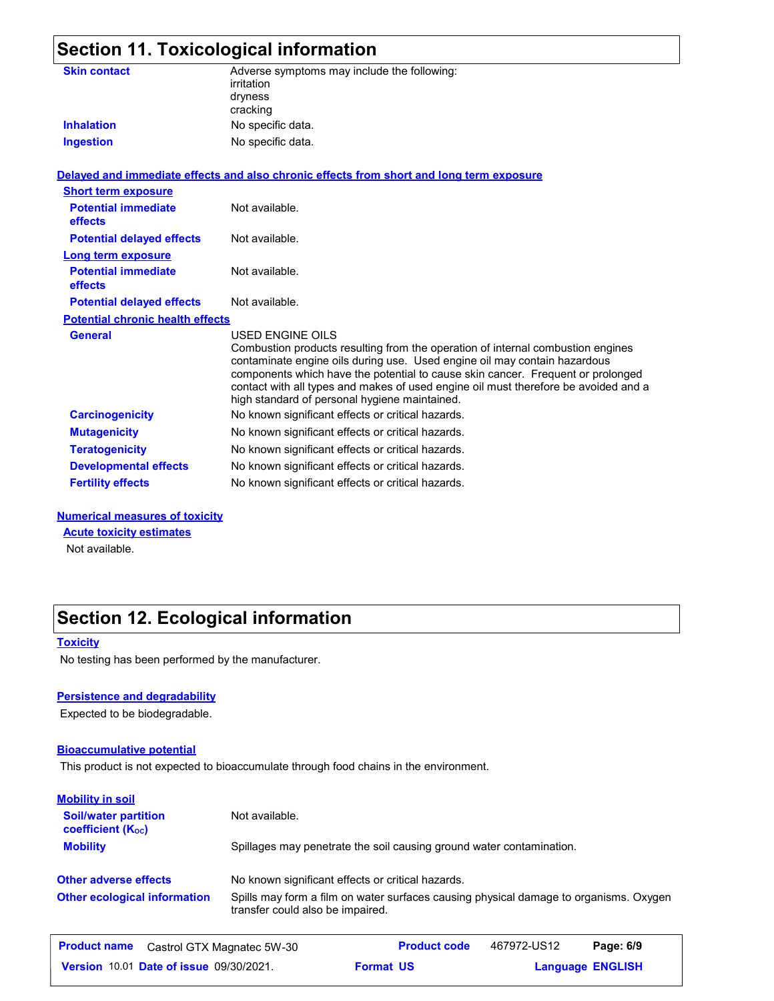|                                              | <b>Section 11. Toxicological information</b>                                                                                                                                                                                                                                                                                                                                                                |
|----------------------------------------------|-------------------------------------------------------------------------------------------------------------------------------------------------------------------------------------------------------------------------------------------------------------------------------------------------------------------------------------------------------------------------------------------------------------|
| <b>Skin contact</b><br><b>Inhalation</b>     | Adverse symptoms may include the following:<br>irritation<br>dryness<br>cracking<br>No specific data.                                                                                                                                                                                                                                                                                                       |
| <b>Ingestion</b>                             | No specific data.                                                                                                                                                                                                                                                                                                                                                                                           |
|                                              |                                                                                                                                                                                                                                                                                                                                                                                                             |
|                                              | Delayed and immediate effects and also chronic effects from short and long term exposure                                                                                                                                                                                                                                                                                                                    |
| <b>Short term exposure</b>                   |                                                                                                                                                                                                                                                                                                                                                                                                             |
| <b>Potential immediate</b><br><b>effects</b> | Not available.                                                                                                                                                                                                                                                                                                                                                                                              |
| <b>Potential delayed effects</b>             | Not available.                                                                                                                                                                                                                                                                                                                                                                                              |
| Long term exposure                           |                                                                                                                                                                                                                                                                                                                                                                                                             |
| <b>Potential immediate</b><br>effects        | Not available.                                                                                                                                                                                                                                                                                                                                                                                              |
| <b>Potential delayed effects</b>             | Not available.                                                                                                                                                                                                                                                                                                                                                                                              |
| <b>Potential chronic health effects</b>      |                                                                                                                                                                                                                                                                                                                                                                                                             |
| <b>General</b>                               | USED ENGINE OILS<br>Combustion products resulting from the operation of internal combustion engines<br>contaminate engine oils during use. Used engine oil may contain hazardous<br>components which have the potential to cause skin cancer. Frequent or prolonged<br>contact with all types and makes of used engine oil must therefore be avoided and a<br>high standard of personal hygiene maintained. |
| <b>Carcinogenicity</b>                       | No known significant effects or critical hazards.                                                                                                                                                                                                                                                                                                                                                           |
| <b>Mutagenicity</b>                          | No known significant effects or critical hazards.                                                                                                                                                                                                                                                                                                                                                           |
| <b>Teratogenicity</b>                        | No known significant effects or critical hazards.                                                                                                                                                                                                                                                                                                                                                           |
| <b>Developmental effects</b>                 | No known significant effects or critical hazards.                                                                                                                                                                                                                                                                                                                                                           |

#### **Numerical measures of toxicity**

**Acute toxicity estimates**

Not available.

# **Section 12. Ecological information**

#### **Toxicity**

No testing has been performed by the manufacturer.

#### **Persistence and degradability**

Expected to be biodegradable.

#### **Bioaccumulative potential**

This product is not expected to bioaccumulate through food chains in the environment.

**Fertility effects** No known significant effects or critical hazards.

| <b>Mobility in soil</b>                                 |                                                                                                                           |  |  |  |
|---------------------------------------------------------|---------------------------------------------------------------------------------------------------------------------------|--|--|--|
| <b>Soil/water partition</b><br><b>coefficient (Koc)</b> | Not available.                                                                                                            |  |  |  |
| <b>Mobility</b>                                         | Spillages may penetrate the soil causing ground water contamination.                                                      |  |  |  |
| <b>Other adverse effects</b>                            | No known significant effects or critical hazards.                                                                         |  |  |  |
| <b>Other ecological information</b>                     | Spills may form a film on water surfaces causing physical damage to organisms. Oxygen<br>transfer could also be impaired. |  |  |  |
| <b>Product name</b>                                     | 467972-US12<br><b>Product code</b><br>Page: 6/9<br>Castrol GTX Magnatec 5W-30                                             |  |  |  |

**Date of issue** 09/30/2021. **Proportive Super Format US and Language ENGLIS** 

**Format US** 

**Language ENGLISH**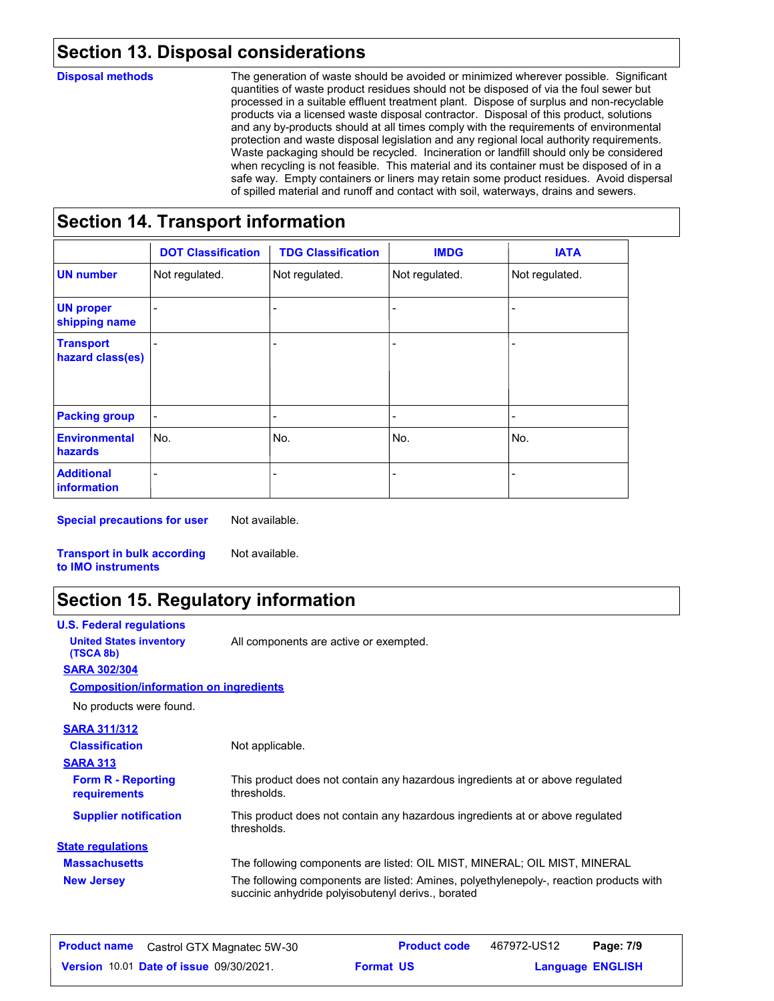# **Section 13. Disposal considerations**

#### **Disposal methods**

The generation of waste should be avoided or minimized wherever possible. Significant quantities of waste product residues should not be disposed of via the foul sewer but processed in a suitable effluent treatment plant. Dispose of surplus and non-recyclable products via a licensed waste disposal contractor. Disposal of this product, solutions and any by-products should at all times comply with the requirements of environmental protection and waste disposal legislation and any regional local authority requirements. Waste packaging should be recycled. Incineration or landfill should only be considered when recycling is not feasible. This material and its container must be disposed of in a safe way. Empty containers or liners may retain some product residues. Avoid dispersal of spilled material and runoff and contact with soil, waterways, drains and sewers.

# **Section 14. Transport information**

|                                      | <b>DOT Classification</b> | <b>TDG Classification</b> | <b>IMDG</b>              | <b>IATA</b>    |
|--------------------------------------|---------------------------|---------------------------|--------------------------|----------------|
| <b>UN number</b>                     | Not regulated.            | Not regulated.            | Not regulated.           | Not regulated. |
| <b>UN proper</b><br>shipping name    |                           |                           |                          |                |
| <b>Transport</b><br>hazard class(es) |                           |                           |                          | ۰              |
| <b>Packing group</b>                 |                           | -                         | $\overline{\phantom{0}}$ | ۰              |
| <b>Environmental</b><br>hazards      | No.                       | No.                       | No.                      | No.            |
| <b>Additional</b><br>information     |                           |                           |                          |                |

**Special precautions for user** Not available.

**Transport in bulk according to IMO instruments** Not available.

# **Section 15. Regulatory information**

| <b>U.S. Federal regulations</b>               |                                                                                                                                              |
|-----------------------------------------------|----------------------------------------------------------------------------------------------------------------------------------------------|
| <b>United States inventory</b><br>(TSCA 8b)   | All components are active or exempted.                                                                                                       |
| <b>SARA 302/304</b>                           |                                                                                                                                              |
| <b>Composition/information on ingredients</b> |                                                                                                                                              |
| No products were found.                       |                                                                                                                                              |
| <b>SARA 311/312</b>                           |                                                                                                                                              |
| <b>Classification</b>                         | Not applicable.                                                                                                                              |
| <b>SARA 313</b>                               |                                                                                                                                              |
| <b>Form R - Reporting</b><br>requirements     | This product does not contain any hazardous ingredients at or above regulated<br>thresholds.                                                 |
| <b>Supplier notification</b>                  | This product does not contain any hazardous ingredients at or above regulated<br>thresholds.                                                 |
| <b>State regulations</b>                      |                                                                                                                                              |
| <b>Massachusetts</b>                          | The following components are listed: OIL MIST, MINERAL; OIL MIST, MINERAL                                                                    |
| <b>New Jersey</b>                             | The following components are listed: Amines, polyethylenepoly-, reaction products with<br>succinic anhydride polyisobutenyl derivs., borated |
|                                               |                                                                                                                                              |

| <b>Product name</b> | Castrol GTX Magnatec 5W-30                     |                  | <b>Product code</b> | 467972-US12 | Page: 7/9               |  |
|---------------------|------------------------------------------------|------------------|---------------------|-------------|-------------------------|--|
|                     | <b>Version 10.01 Date of issue 09/30/2021.</b> | <b>Format US</b> |                     |             | <b>Language ENGLISH</b> |  |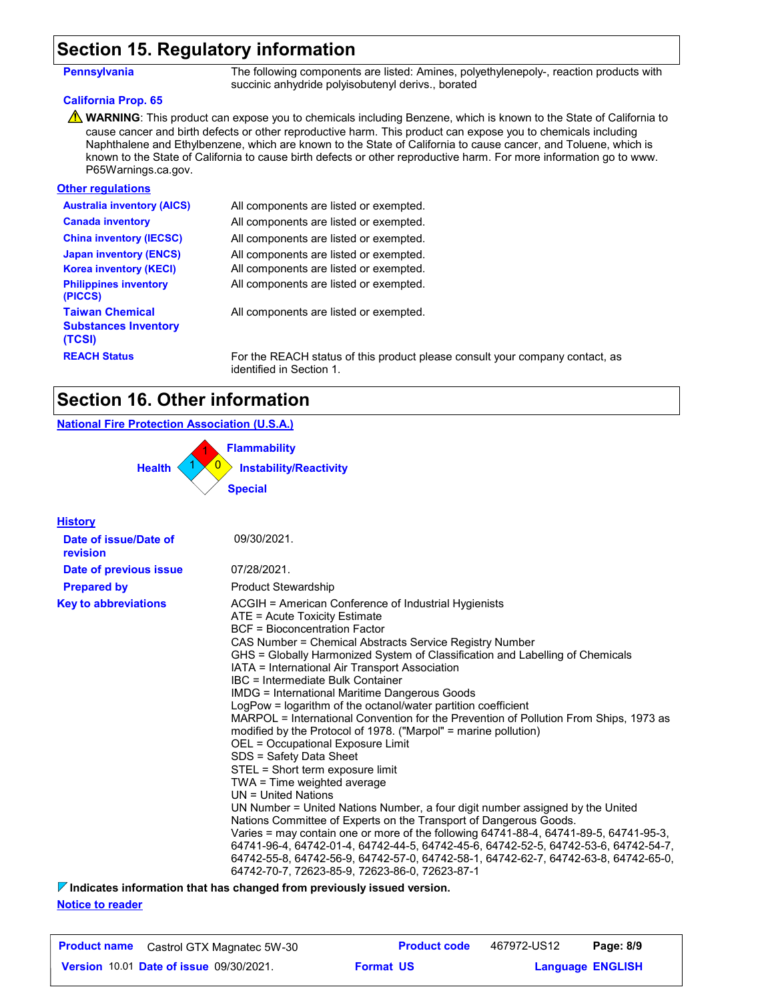#### **Section 15. Regulatory information**

**Pennsylvania** The following components are listed: Amines, polyethylenepoly-, reaction products with succinic anhydride polyisobutenyl derivs., borated

#### **California Prop. 65**

WARNING: This product can expose you to chemicals including Benzene, which is known to the State of California to cause cancer and birth defects or other reproductive harm. This product can expose you to chemicals including Naphthalene and Ethylbenzene, which are known to the State of California to cause cancer, and Toluene, which is known to the State of California to cause birth defects or other reproductive harm. For more information go to www. P65Warnings.ca.gov.

#### **Other regulations**

| <b>Australia inventory (AICS)</b>                               | All components are listed or exempted.      |
|-----------------------------------------------------------------|---------------------------------------------|
| <b>Canada inventory</b>                                         | All components are listed or exempted.      |
| <b>China inventory (IECSC)</b>                                  | All components are listed or exempted.      |
| <b>Japan inventory (ENCS)</b>                                   | All components are listed or exempted.      |
| <b>Korea inventory (KECI)</b>                                   | All components are listed or exempted.      |
| <b>Philippines inventory</b><br>(PICCS)                         | All components are listed or exempted.      |
| <b>Taiwan Chemical</b><br><b>Substances Inventory</b><br>(TCSI) | All components are listed or exempted.      |
| <b>REACH Status</b>                                             | For the REACH status of this product please |

**REACH Status** Four company contact, as identified in Section 1.

#### **Section 16. Other information**

#### **National Fire Protection Association (U.S.A.)**

0 **Instability/Reactivity** 1 **Flammability**  $1 \times 0$ **Health Special**

| <b>History</b>                    |                                                                                                                                                                                                                                                                                                                                                                                                                                                                                                                                                                                                                                                                                                                                                                                                                                                                                                                                                                                                                                                                                                                                                                                                                                                                                                |
|-----------------------------------|------------------------------------------------------------------------------------------------------------------------------------------------------------------------------------------------------------------------------------------------------------------------------------------------------------------------------------------------------------------------------------------------------------------------------------------------------------------------------------------------------------------------------------------------------------------------------------------------------------------------------------------------------------------------------------------------------------------------------------------------------------------------------------------------------------------------------------------------------------------------------------------------------------------------------------------------------------------------------------------------------------------------------------------------------------------------------------------------------------------------------------------------------------------------------------------------------------------------------------------------------------------------------------------------|
| Date of issue/Date of<br>revision | 09/30/2021.                                                                                                                                                                                                                                                                                                                                                                                                                                                                                                                                                                                                                                                                                                                                                                                                                                                                                                                                                                                                                                                                                                                                                                                                                                                                                    |
| Date of previous issue            | 07/28/2021.                                                                                                                                                                                                                                                                                                                                                                                                                                                                                                                                                                                                                                                                                                                                                                                                                                                                                                                                                                                                                                                                                                                                                                                                                                                                                    |
| <b>Prepared by</b>                | <b>Product Stewardship</b>                                                                                                                                                                                                                                                                                                                                                                                                                                                                                                                                                                                                                                                                                                                                                                                                                                                                                                                                                                                                                                                                                                                                                                                                                                                                     |
| <b>Key to abbreviations</b>       | ACGIH = American Conference of Industrial Hygienists<br>ATE = Acute Toxicity Estimate<br><b>BCF</b> = Bioconcentration Factor<br>CAS Number = Chemical Abstracts Service Registry Number<br>GHS = Globally Harmonized System of Classification and Labelling of Chemicals<br>IATA = International Air Transport Association<br>IBC = Intermediate Bulk Container<br><b>IMDG = International Maritime Dangerous Goods</b><br>LogPow = logarithm of the octanol/water partition coefficient<br>MARPOL = International Convention for the Prevention of Pollution From Ships, 1973 as<br>modified by the Protocol of 1978. ("Marpol" = marine pollution)<br>OEL = Occupational Exposure Limit<br>SDS = Safety Data Sheet<br>STEL = Short term exposure limit<br>TWA = Time weighted average<br>UN = United Nations<br>UN Number = United Nations Number, a four digit number assigned by the United<br>Nations Committee of Experts on the Transport of Dangerous Goods.<br>Varies = may contain one or more of the following 64741-88-4, 64741-89-5, 64741-95-3,<br>64741-96-4, 64742-01-4, 64742-44-5, 64742-45-6, 64742-52-5, 64742-53-6, 64742-54-7,<br>64742-55-8, 64742-56-9, 64742-57-0, 64742-58-1, 64742-62-7, 64742-63-8, 64742-65-0,<br>64742-70-7, 72623-85-9, 72623-86-0, 72623-87-1 |
|                                   | $\nabla$ Indicates information that has changed from previously issued version.                                                                                                                                                                                                                                                                                                                                                                                                                                                                                                                                                                                                                                                                                                                                                                                                                                                                                                                                                                                                                                                                                                                                                                                                                |

**Notice to reader**

| <b>Product name</b> Castrol GTX Magnatec 5W-30 |                  | <b>Product code</b> | 467972-US12 | Page: 8/9               |  |
|------------------------------------------------|------------------|---------------------|-------------|-------------------------|--|
| <b>Version 10.01 Date of issue 09/30/2021.</b> | <b>Format US</b> |                     |             | <b>Language ENGLISH</b> |  |